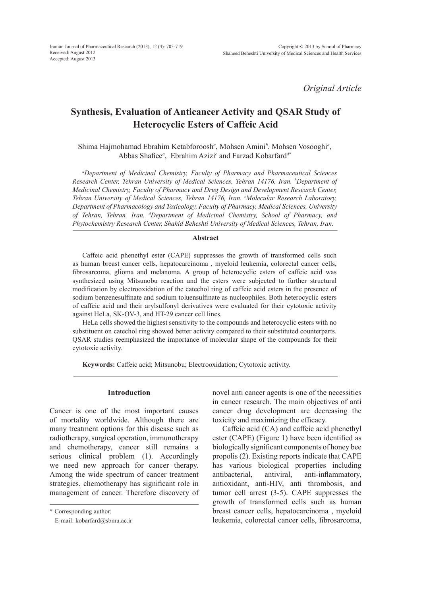*Original Article*

# **Synthesis, Evaluation of Anticancer Activity and QSAR Study of Heterocyclic Esters of Caffeic Acid**

Shima Hajmohamad Ebrahim Ketabforoosh<sup>a</sup>, Mohsen Amini<sup>b</sup>, Mohsen Vosooghi<sup>a</sup>, Abbas Shafiee*<sup>a</sup>* , Ebrahim Azizi*<sup>c</sup>* and Farzad Kobarfard*<sup>d</sup>***\***

*a Department of Medicinal Chemistry, Faculty of Pharmacy and Pharmaceutical Sciences Research Center, Tehran University of Medical Sciences, Tehran 14176, Iran. <sup>b</sup> Department of Medicinal Chemistry, Faculty of Pharmacy and Drug Design and Development Research Center, Tehran University of Medical Sciences, Tehran 14176, Iran. c Molecular Research Laboratory, Department of Pharmacology and Toxicology, Faculty of Pharmacy, Medical Sciences, University of Tehran, Tehran, Iran. d Department of Medicinal Chemistry, School of Pharmacy, and Phytochemistry Research Center, Shahid Beheshti University of Medical Sciences, Tehran, Iran.*

#### **Abstract**

Caffeic acid phenethyl ester (CAPE) suppresses the growth of transformed cells such as human breast cancer cells, hepatocarcinoma , myeloid leukemia, colorectal cancer cells, fibrosarcoma, glioma and melanoma. A group of heterocyclic esters of caffeic acid was synthesized using Mitsunobu reaction and the esters were subjected to further structural modification by electrooxidation of the catechol ring of caffeic acid esters in the presence of sodium benzenesulfinate and sodium toluensulfinate as nucleophiles. Both heterocyclic esters of caffeic acid and their arylsulfonyl derivatives were evaluated for their cytotoxic activity against HeLa, SK-OV-3, and HT-29 cancer cell lines.

HeLa cells showed the highest sensitivity to the compounds and heterocyclic esters with no substituent on catechol ring showed better activity compared to their substituted counterparts. QSAR studies reemphasized the importance of molecular shape of the compounds for their cytotoxic activity.

**Keywords:** Caffeic acid; Mitsunobu; Electrooxidation; Cytotoxic activity.

# **Introduction**

Cancer is one of the most important causes of mortality worldwide. Although there are many treatment options for this disease such as radiotherapy, surgical operation, immunotherapy and chemotherapy, cancer still remains a serious clinical problem (1). Accordingly we need new approach for cancer therapy. Among the wide spectrum of cancer treatment strategies, chemotherapy has significant role in management of cancer. Therefore discovery of novel anti cancer agents is one of the necessities in cancer research. The main objectives of anti cancer drug development are decreasing the toxicity and maximizing the efficacy.

Caffeic acid (CA) and caffeic acid phenethyl ester (CAPE) (Figure 1) have been identified as biologically significant components of honey bee propolis (2). Existing reports indicate that CAPE has various biological properties including antibacterial, antiviral, anti-inflammatory, antioxidant, anti-HIV, anti thrombosis, and tumor cell arrest (3-5). CAPE suppresses the growth of transformed cells such as human breast cancer cells, hepatocarcinoma , myeloid leukemia, colorectal cancer cells, fibrosarcoma,

<sup>\*</sup> Corresponding author:

E-mail: kobarfard@sbmu.ac.ir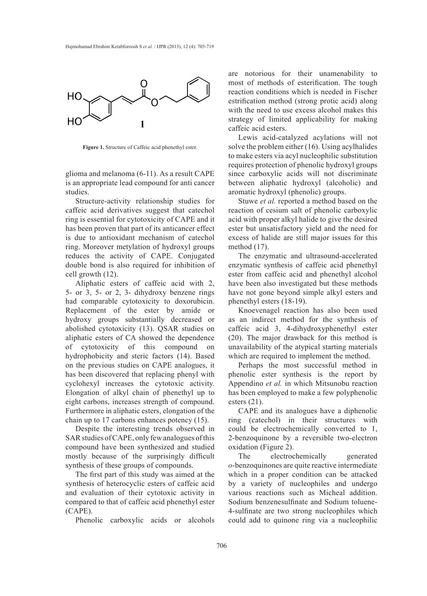

**Figure 1.** Structure of Caffeic acid phenethyl ester.

glioma and melanoma (6-11). As a result CAPE is an appropriate lead compound for anti cancer studies.

Structure-activity relationship studies for caffeic acid derivatives suggest that catechol ring is essential for cytotoxicity of CAPE and it has been proven that part of its anticancer effect is due to antioxidant mechanism of catechol ring. Moreover metylation of hydroxyl groups reduces the activity of CAPE. Conjugated double bond is also required for inhibition of cell growth (12).

Aliphatic esters of caffeic acid with 2, 5- or 3, 5- or 2, 3- dihydroxy benzene rings had comparable cytotoxicity to doxorubicin. Replacement of the ester by amide or hydroxy groups substantially decreased or abolished cytotoxicity (13). QSAR studies on aliphatic esters of CA showed the dependence of cytotoxicity of this compound on hydrophobicity and steric factors (14). Based on the previous studies on CAPE analogues, it has been discovered that replacing phenyl with cyclohexyl increases the cytotoxic activity. Elongation of alkyl chain of phenethyl up to eight carbons, increases strength of compound. Furthermore in aliphatic esters, elongation of the chain up to 17 carbons enhances potency (15).

Despite the interesting trends observed in SAR studies of CAPE, only few analogues of this compound have been synthesized and studied mostly because of the surprisingly difficult synthesis of these groups of compounds.

The first part of this study was aimed at the synthesis of heterocyclic esters of caffeic acid and evaluation of their cytotoxic activity in compared to that of caffeic acid phenethyl ester (CAPE).

Phenolic carboxylic acids or alcohols

are notorious for their unamenability to most of methods of esterification. The tough reaction conditions which is needed in Fischer estrification method (strong protic acid) along with the need to use excess alcohol makes this strategy of limited applicability for making caffeic acid esters.

Lewis acid-catalyzed acylations will not solve the problem either (16). Using acylhalides to make esters via acyl nucleophilic substitution requires protection of phenolic hydroxyl groups since carboxylic acids will not discriminate between aliphatic hydroxyl (alcoholic) and aromatic hydroxyl (phenolic) groups.

Stuwe *et al.* reported a method based on the reaction of cesium salt of phenolic carboxylic acid with proper alkyl halide to give the desired ester but unsatisfactory yield and the need for excess of halide are still major issues for this method (17).

The enzymatic and ultrasound-accelerated enzymatic synthesis of caffeic acid phenethyl ester from caffeic acid and phenethyl alcohol have been also investigated but these methods have not gone beyond simple alkyl esters and phenethyl esters (18-19).

Knoevenagel reaction has also been used as an indirect method for the synthesis of caffeic acid 3, 4-dihydroxyphenethyl ester (20). The major drawback for this method is unavailability of the atypical starting materials which are required to implement the method.

Perhaps the most successful method in phenolic ester synthesis is the report by Appendino *et al.* in which Mitsunobu reaction has been employed to make a few polyphenolic esters  $(21)$ .

CAPE and its analogues have a diphenolic ring (catechol) in their structures with could be electrochemically converted to 1, 2-benzoquinone by a reversible two-electron oxidation (Figure 2).

The electrochemically generated *o*-benzoquinones are quite reactive intermediate which in a proper condition can be attacked by a variety of nucleophiles and undergo various reactions such as Micheal addition. Sodium benzenesulfinate and Sodium toluene-4-sulfinate are two strong nucleophiles which could add to quinone ring via a nucleophilic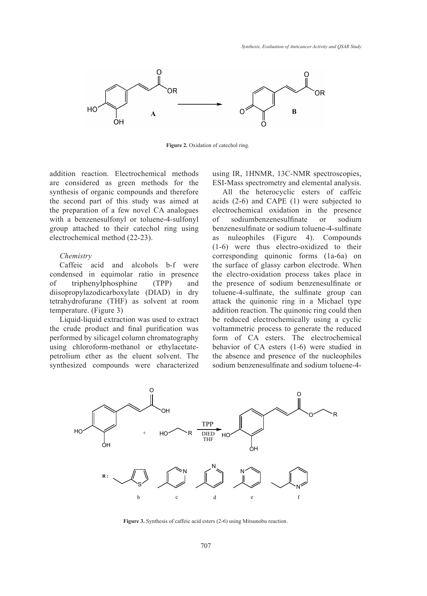

Figure 2. Oxidation of catechol ring.

addition reaction. Electrochemical methods are considered as green methods for the synthesis of organic compounds and therefore the second part of this study was aimed at the preparation of a few novel CA analogues with a benzenesulfonyl or toluene-4-sulfonyl group attached to their catechol ring using electrochemical method (22-23).

## *Chemistry*

Caffeic acid and alcohols b-f were condensed in equimolar ratio in presence of triphenylphosphine (TPP) and diisopropylazodicarboxylate (DIAD) in dry tetrahydrofurane (THF) as solvent at room temperature. (Figure 3)

Liquid-liquid extraction was used to extract the crude product and final purification was performed by silicagel column chromatography using chloroform-methanol or ethylacetatepetrolium ether as the eluent solvent. The synthesized compounds were characterized using IR, 1HNMR, 13C-NMR spectroscopies, ESI-Mass spectrometry and elemental analysis.

All the heterocyclic esters of caffeic acids (2-6) and CAPE (1) were subjected to electrochemical oxidation in the presence of sodiumbenzenesulfinate or sodium benzenesulfinate or sodium toluene-4-sulfinate as nuleophiles (Figure 4). Compounds (1-6) were thus electro-oxidized to their corresponding quinonic forms (1a-6a) on the surface of glassy carbon electrode. When the electro-oxidation process takes place in the presence of sodium benzenesulfinate or toluene-4-sulfinate, the sulfinate group can attack the quinonic ring in a Michael type addition reaction. The quinonic ring could then be reduced electrochemically using a cyclic voltammetric process to generate the reduced form of CA esters. The electrochemical behavior of CA esters (1-6) were studied in the absence and presence of the nucleophiles sodium benzenesulfinate and sodium toluene-4-



**Figure 3.** Synthesis of caffeic acid esters (2-6) using Mitsunobu reaction.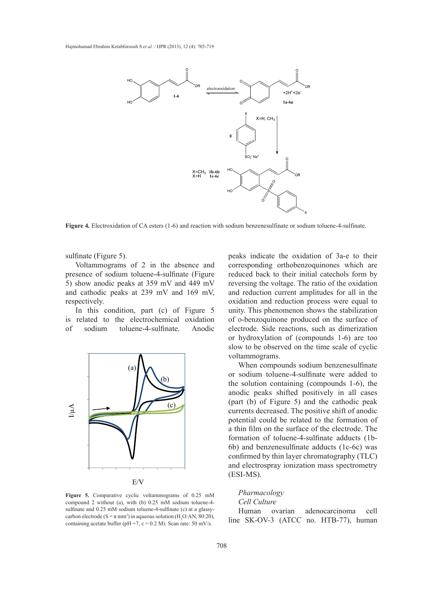

Figure 4. Electroxidation of CA esters (1-6) and reaction with sodium benzenesulfinate or sodium toluene-4-sulfinate.

sulfinate (Figure 5).

Voltammograms of 2 in the absence and presence of sodium toluene-4-sulfinate (Figure 5) show anodic peaks at 359 mV and 449 mV and cathodic peaks at 239 mV and 169 mV, respectively.

In this condition, part (c) of Figure 5 is related to the electrochemical oxidation of sodium toluene-4-sulfinate. Anodic



**Figure 5.** Comparative cyclic voltammograms of 0.25 mM compound 2 without (a), with (b) 0.25 mM sodium toluene-4 sulfinate and 0.25 mM sodium toluene-4-sulfinate (c) at a glassycarbon electrode ( $S = \pi$  mm<sup>2</sup>) in aqueous solution ( $H_2O$ :AN, 80:20), containing acetate buffer ( $pH = 7$ ,  $c = 0.2$  M). Scan rate: 50 mV/s.

peaks indicate the oxidation of 3a-e to their corresponding orthobenzoquinones which are of sodium toluene-4-sulfinate (Figure reduced back to their initial cate chols form by anodic peaks at 359 mV and 449 mV reversing the voltage. The ratio of the oxidation odic peaks at 239 mV and 169 mV, and reduction current amplitudes for all in the ely. **process** to generate the reduction process were equal to electrochemical behavior of CA esters. The electrochemical behavior of CA esters. The electrochemical behavior of CA esters. The electrochemical behavior of CA is condition, part (c) of Figure 5 unity. This phenomenon shows the stabilization of o-benzoquinone produced on the surface of electrode. Side reactions, such as dimerization or hydroxylation of (compounds 1-6) are too slow to be observed on the time scale of cyclic voltammograms.

> When compounds sodium benzenesulfinate or sodium toluene-4-sulfinate were added to the solution containing (compounds 1-6), the anodic peaks shifted positively in all cases (part (b) of Figure 5) and the cathodic peak currents decreased. The positive shift of anodic potential could be related to the formation of a thin film on the surface of the electrode. The formation of toluene-4-sulfinate adducts (1b-6b) and benzenesulfinate adducts (1c-6c) was confirmed by thin layer chromatography (TLC) and electrospray ionization mass spectrometry (ESI-MS).

# *Pharmacology*

# *Cell Culture*

Human ovarian adenocarcinoma cell line SK-OV-3 (ATCC no. HTB-77), human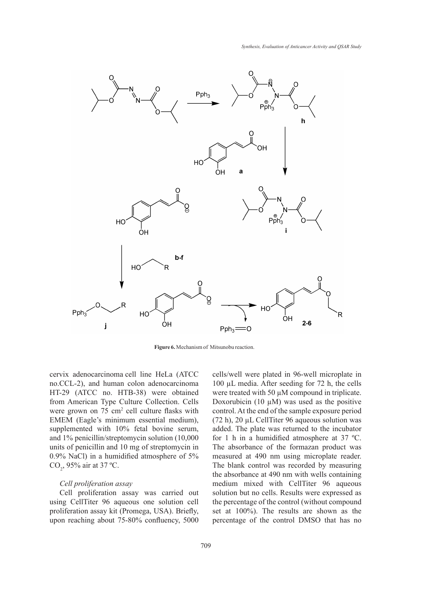

**Figure 6.** Mechanism of Mitsunobu reaction.

cervix adenocarcinoma cell line HeLa (ATCC no.CCL-2), and human colon adenocarcinoma HT-29 (ATCC no. HTB-38) were obtained from American Type Culture Collection. Cells were grown on 75 cm<sup>2</sup> cell culture flasks with EMEM (Eagle's minimum essential medium), supplemented with 10% fetal bovine serum, and 1% penicillin/streptomycin solution (10,000 units of penicillin and 10 mg of streptomycin in 0.9% NaCl) in a humidified atmosphere of 5%  $CO_2$ , 95% air at 37 °C.

# *Cell proliferation assay*

Cell proliferation assay was carried out using CellTiter 96 aqueous one solution cell proliferation assay kit (Promega, USA). Briefly, upon reaching about 75-80% confluency, 5000 cells/well were plated in 96-well microplate in 100 µL media. After seeding for 72 h, the cells were treated with 50  $\mu$ M compound in triplicate. Doxorubicin (10  $\mu$ M) was used as the positive control. At the end of the sample exposure period (72 h), 20 µL CellTiter 96 aqueous solution was added. The plate was returned to the incubator for 1 h in a humidified atmosphere at 37 ºC. The absorbance of the formazan product was measured at 490 nm using microplate reader. The blank control was recorded by measuring the absorbance at 490 nm with wells containing medium mixed with CellTiter 96 aqueous solution but no cells. Results were expressed as the percentage of the control (without compound set at 100%). The results are shown as the percentage of the control DMSO that has no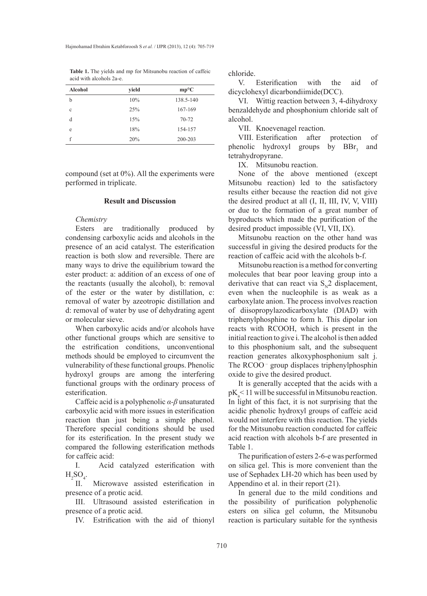**Table 1.** The yields and mp for Mitsunobu reaction of caffeic acid with alcohols 2a-e.

| <b>Alcohol</b> | yield | $mp^{\circ}C$ |
|----------------|-------|---------------|
| b              | 10%   | 138.5-140     |
| $\mathbf c$    | 25%   | 167-169       |
| d              | 15%   | 70-72         |
| e              | 18%   | 154-157       |
| f              | 20%   | 200-203       |

compound (set at 0%). All the experiments were performed in triplicate.

# **Result and Discussion**

#### *Chemistry*

Esters are traditionally produced by condensing carboxylic acids and alcohols in the presence of an acid catalyst. The esterification reaction is both slow and reversible. There are many ways to drive the equilibrium toward the ester product: a: addition of an excess of one of the reactants (usually the alcohol), b: removal of the ester or the water by distillation, c: removal of water by azeotropic distillation and d: removal of water by use of dehydrating agent or molecular sieve.

When carboxylic acids and/or alcohols have other functional groups which are sensitive to the estrification conditions, unconventional methods should be employed to circumvent the vulnerability of these functional groups. Phenolic hydroxyl groups are among the interfering functional groups with the ordinary process of esterification.

Caffeic acid is a polyphenolic *α-β* unsaturated carboxylic acid with more issues in esterification reaction than just being a simple phenol. Therefore special conditions should be used for its esterification. In the present study we compared the following esterification methods for caffeic acid:

I. Acid catalyzed esterification with  $H_2SO_4$ .

II. Microwave assisted esterification in presence of a protic acid.

III. Ultrasound assisted esterification in presence of a protic acid.

IV. Estrification with the aid of thionyl

chloride.

V. Esterification with the aid of dicyclohexyl dicarbondiimide(DCC).

VI. Wittig reaction between 3, 4-dihydroxy benzaldehyde and phosphonium chloride salt of alcohol.

VII. Knoevenagel reaction.

VIII. Esterification after protection of phenolic hydroxyl groups by  $BBr<sub>3</sub>$  and tetrahydropyrane.

IX. Mitsunobu reaction.

None of the above mentioned (except Mitsunobu reaction) led to the satisfactory results either because the reaction did not give the desired product at all (I, II, III, IV, V, VIII) or due to the formation of a great number of byproducts which made the purification of the desired product impossible (VI, VII, IX).

Mitsunobu reaction on the other hand was successful in giving the desired products for the reaction of caffeic acid with the alcohols b-f.

Mitsunobu reaction is a method for converting molecules that bear poor leaving group into a derivative that can react via  $S_{N}$ <sup>2</sup> displacement, even when the nucleophile is as weak as a carboxylate anion. The process involves reaction of diisopropylazodicarboxylate (DIAD) with triphenylphosphine to form h. This dipolar ion reacts with RCOOH, which is present in the initial reaction to give i. The alcohol is then added to this phosphonium salt, and the subsequent reaction generates alkoxyphosphonium salt j. The RCOO – group displaces triphenylphosphin oxide to give the desired product.

It is generally accepted that the acids with a  $pK_a$ < 11 will be successful in Mitsunobu reaction. In light of this fact, it is not surprising that the acidic phenolic hydroxyl groups of caffeic acid would not interfere with this reaction. The yields for the Mitsunobu reaction conducted for caffeic acid reaction with alcohols b-f are presented in Table 1.

The purification of esters 2-6-e was performed on silica gel. This is more convenient than the use of Sephadex LH-20 which has been used by Appendino et al. in their report (21).

In general due to the mild conditions and the possibility of purification polyphenolic esters on silica gel column, the Mitsunobu reaction is particulary suitable for the synthesis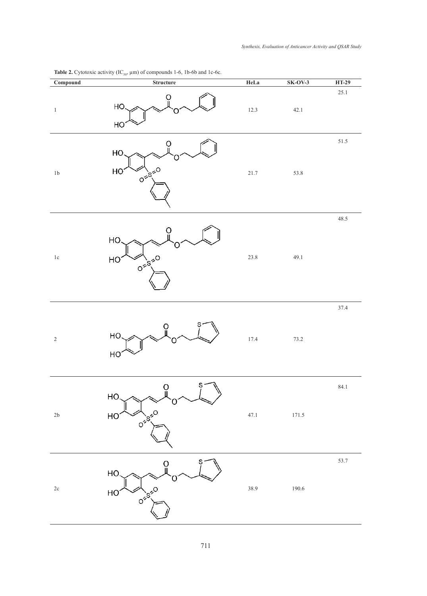| $\overline{\text{Compound}}$ | $\sum_{i=1}^{n}$<br>$\frac{1}{2}$<br>${\bf Structure}$ | HeLa     | $SK-OV-3$ | <b>HT-29</b> |
|------------------------------|--------------------------------------------------------|----------|-----------|--------------|
| $\,1\,$                      | HO<br>HO                                               | $12.3\,$ | 42.1      | 25.1         |
| $1\mathrm{b}$                | O<br>HO.<br>HO<br>$0\leq S_{1}^{\leq 0}$               | $21.7\,$ | 53.8      | $51.5\,$     |
| $1\mathrm{c}$                | HO.<br>$0^{5.55}$<br>HO                                | 23.8     | 49.1      | 48.5         |
| $\sqrt{2}$                   | O<br>HO.<br>HO                                         | 17.4     | 73.2      | 37.4         |
| $2\mathsf{b}$                | $S^{\prime}$<br>$\Omega$<br>HO<br>0155-0<br>HO         | 47.1     | 171.5     | 84.1         |
| $2\mathrm{c}$                | S<br>HO<br><b>O</b> <sup>2520</sup><br>HC              | 38.9     | 190.6     | 53.7         |

**Table 2.** Cytotoxic activity (IC<sub>50</sub>,  $\mu$ m) of compounds 1-6, 1b-6b and 1c-6c.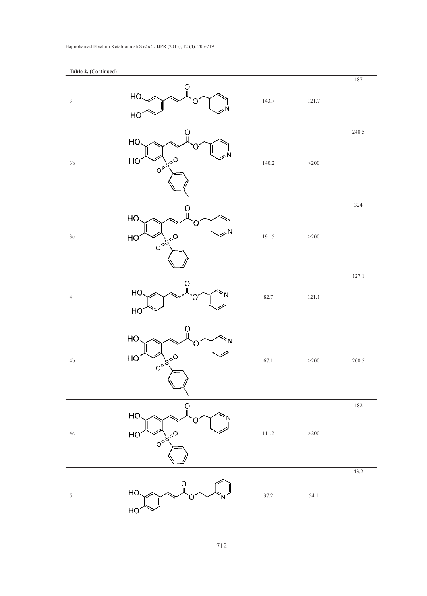| $\ensuremath{\mathfrak{Z}}$ | Ö<br>HO.                                   | 143.7 | 121.7  | $187\,$ |
|-----------------------------|--------------------------------------------|-------|--------|---------|
|                             | HO<br>O                                    |       |        | 240.5   |
| $3\mathrm{b}$               | HO<br>HO<br>0 - 19 - 10                    | 140.2 | $>200$ |         |
| $3\mathrm{c}$               | Ö<br>HO.<br>HO<br>$0\leq S_{1}^{1/2}$      | 191.5 | $>200$ | 324     |
| $\sqrt{4}$                  | O<br>HO<br>HO                              | 82.7  | 121.1  | 127.1   |
| 4 <sub>b</sub>              | 0<br>HO<br>HO<br>$0\frac{1}{5}\frac{1}{5}$ | 67.1  | $>200$ | 200.5   |
| $4\mathrm{c}$               | ပူ<br>HO<br>HO<br><b>OF</b> 15-50          | 111.2 | $>200$ | 182     |
| $\sqrt{5}$                  | ö<br>HO.<br>HO                             | 37.2  | 54.1   | 43.2    |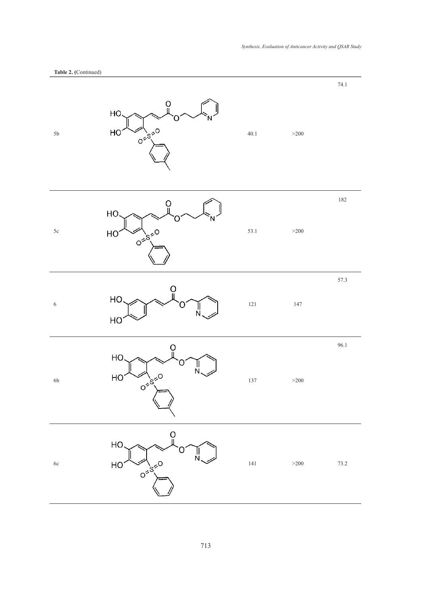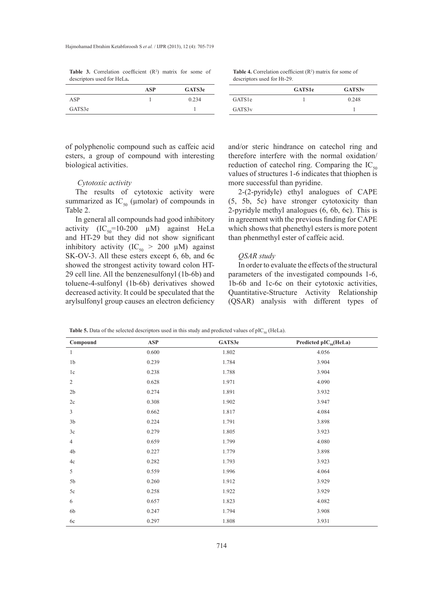**Table 3.** Correlation coefficient  $(R^2)$  matrix for some of descriptors used for HeLa**.**

**Table 4.** Correlation coefficient  $(R^2)$  matrix for some of descriptors used for Ht-29.

|        | ASP | GATS3e |
|--------|-----|--------|
| ASP    |     | 0.234  |
| GATS3e |     |        |

|                     | <b>GATS1e</b> | GATS3 <sub>v</sub> |
|---------------------|---------------|--------------------|
| GATS <sub>1</sub> e |               | 0.248              |
| GATS3v              |               |                    |

of polyphenolic compound such as caffeic acid esters, a group of compound with interesting biological activities.

#### *Cytotoxic activity*

The results of cytotoxic activity were summarized as  $IC_{50}$  (µmolar) of compounds in Table 2.

In general all compounds had good inhibitory activity  $(IC_{50} = 10-200 \mu M)$  against HeLa and HT-29 but they did not show significant inhibitory activity (IC<sub>50</sub> > 200 µM) against SK-OV-3. All these esters except 6, 6b, and 6c showed the strongest activity toward colon HT-29 cell line. All the benzenesulfonyl (1b-6b) and toluene-4-sulfonyl (1b-6b) derivatives showed decreased activity. It could be speculated that the arylsulfonyl group causes an electron deficiency and/or steric hindrance on catechol ring and therefore interfere with the normal oxidation/ reduction of catechol ring. Comparing the  $IC_{50}$ values of structures 1-6 indicates that thiophen is more successful than pyridine.

2-(2-pyridyle) ethyl analogues of CAPE (5, 5b, 5c) have stronger cytotoxicity than 2-pyridyle methyl analogues (6, 6b, 6c). This is in agreement with the previous finding for CAPE which shows that phenethyl esters is more potent than phenmethyl ester of caffeic acid.

#### *QSAR study*

In order to evaluate the effects of the structural parameters of the investigated compounds 1-6, 1b-6b and 1c-6c on their cytotoxic activities, Quantitative-Structure Activity Relationship (QSAR) analysis with different types of

**Table 5.** Data of the selected descriptors used in this study and predicted values of  $pIC_{50}$  (HeLa).

| Compound       | ASP   | GATS3e | Predicted $\text{pIC}_{50}(\text{HeLa})$ |
|----------------|-------|--------|------------------------------------------|
| $\mathbf{1}$   | 0.600 | 1.802  | 4.056                                    |
| 1 <sub>b</sub> | 0.239 | 1.784  | 3.904                                    |
| 1c             | 0.238 | 1.788  | 3.904                                    |
| $\sqrt{2}$     | 0.628 | 1.971  | 4.090                                    |
| $2\mathsf{b}$  | 0.274 | 1.891  | 3.932                                    |
| 2c             | 0.308 | 1.902  | 3.947                                    |
| $\mathfrak{Z}$ | 0.662 | 1.817  | 4.084                                    |
| 3 <sub>b</sub> | 0.224 | 1.791  | 3.898                                    |
| 3c             | 0.279 | 1.805  | 3.923                                    |
| $\overline{4}$ | 0.659 | 1.799  | 4.080                                    |
| 4b             | 0.227 | 1.779  | 3.898                                    |
| 4c             | 0.282 | 1.793  | 3.923                                    |
| 5              | 0.559 | 1.996  | 4.064                                    |
| 5b             | 0.260 | 1.912  | 3.929                                    |
| 5c             | 0.258 | 1.922  | 3.929                                    |
| 6              | 0.657 | 1.823  | 4.082                                    |
| 6b             | 0.247 | 1.794  | 3.908                                    |
| 6c             | 0.297 | 1.808  | 3.931                                    |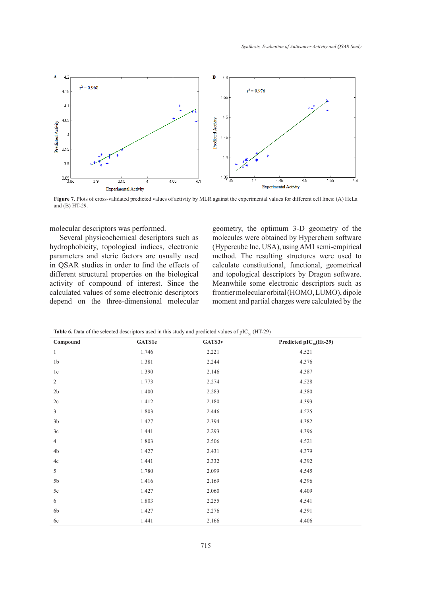

**Figure 7.** Plots of cross-validated predicted values of activity by MLR against the experimental values for different cell lines: (A) HeLa and (B) HT-29.

molecular descriptors was performed.

Several physicochemical descriptors such as hydrophobicity, topological indices, electronic parameters and steric factors are usually used in QSAR studies in order to find the effects of different structural properties on the biological activity of compound of interest. Since the calculated values of some electronic descriptors depend on the three-dimensional molecular geometry, the optimum 3-D geometry of the molecules were obtained by Hyperchem software (Hypercube Inc, USA), using AM1 semi-empirical method. The resulting structures were used to calculate constitutional, functional, geometrical and topological descriptors by Dragon software. Meanwhile some electronic descriptors such as frontier molecular orbital (HOMO, LUMO), dipole moment and partial charges were calculated by the

| Compound       | <b>GATS1e</b> | GATS3v | Predicted $pIC_{50}$ (Ht-29) |
|----------------|---------------|--------|------------------------------|
| $\mathbf{1}$   | 1.746         | 2.221  | 4.521                        |
| 1 <sub>b</sub> | 1.381         | 2.244  | 4.376                        |
| 1c             | 1.390         | 2.146  | 4.387                        |
| $\sqrt{2}$     | 1.773         | 2.274  | 4.528                        |
| $2\mathsf{b}$  | 1.400         | 2.283  | 4.380                        |
| $2\mathrm{c}$  | 1.412         | 2.180  | 4.393                        |
| $\overline{3}$ | 1.803         | 2.446  | 4.525                        |
| $3\mathrm{b}$  | 1.427         | 2.394  | 4.382                        |
| 3c             | 1.441         | 2.293  | 4.396                        |
| $\overline{4}$ | 1.803         | 2.506  | 4.521                        |
| 4b             | 1.427         | 2.431  | 4.379                        |
| 4c             | 1.441         | 2.332  | 4.392                        |
| 5              | 1.780         | 2.099  | 4.545                        |
| 5b             | 1.416         | 2.169  | 4.396                        |
| $5c$           | 1.427         | 2.060  | 4.409                        |
| 6              | 1.803         | 2.255  | 4.541                        |
| 6b             | 1.427         | 2.276  | 4.391                        |
| 6c             | 1.441         | 2.166  | 4.406                        |

**Table 6.** Data of the selected descriptors used in this study and predicted values of  $pIC_{50}$  (HT-29)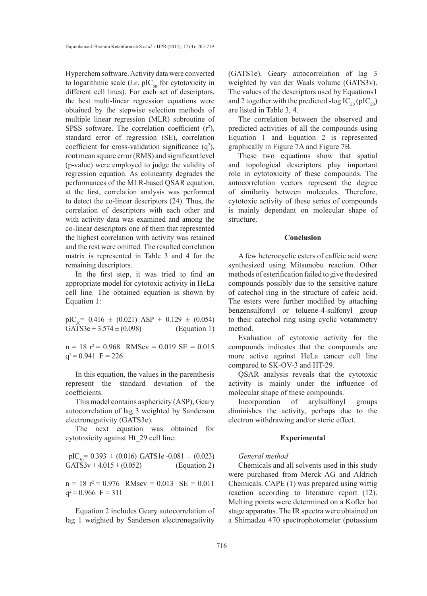Hyperchem software. Activity data were converted to logarithmic scale (*i.e.* pIC<sub>50</sub> for cytotoxicity in different cell lines). For each set of descriptors, the best multi-linear regression equations were obtained by the stepwise selection methods of multiple linear regression (MLR) subroutine of SPSS software. The correlation coefficient  $(r^2)$ , standard error of regression (SE), correlation coefficient for cross-validation significance  $(q^2)$ , root mean square error (RMS) and significant level (p-value) were employed to judge the validity of regression equation. As colinearity degrades the performances of the MLR-based QSAR equation, at the first, correlation analysis was performed to detect the co-linear descriptors (24). Thus, the correlation of descriptors with each other and with activity data was examined and among the co-linear descriptors one of them that represented the highest correlation with activity was retained and the rest were omitted. The resulted correlation matrix is represented in Table 3 and 4 for the remaining descriptors.

In the first step, it was tried to find an appropriate model for cytotoxic activity in HeLa cell line. The obtained equation is shown by Equation 1:

pIC<sub>50</sub>= 0.416 ± (0.021) ASP + 0.129 ± (0.054)<br>GATS3e + 3.574 ± (0.098) (Equation 1) GATS3e + 3.574  $\pm$  (0.098)

 $n = 18$   $r^2 = 0.968$  RMScv = 0.019 SE = 0.015  $q^2$  = 0.941 F = 226

In this equation, the values in the parenthesis represent the standard deviation of the coefficients.

This model contains asphericity (ASP), Geary autocorrelation of lag 3 weighted by Sanderson electronegativity (GATS3e).

The next equation was obtained for cytotoxicity against Ht\_29 cell line:

$$
pIC50 = 0.393 \pm (0.016) GATS1e - 0.081 \pm (0.023)
$$
  
GATS3v + 4.015 \pm (0.052) (Equation 2)

 $n = 18$   $r^2 = 0.976$  RMscv = 0.013 SE = 0.011  $q^2$  = 0.966 F = 311

Equation 2 includes Geary autocorrelation of lag 1 weighted by Sanderson electronegativity

(GATS1e), Geary autocorrelation of lag 3 weighted by van der Waals volume (GATS3v). The values of the descriptors used by Equations1 and 2 together with the predicted -log  $IC_{50}$  (pIC<sub>50</sub>) are listed in Table 3, 4.

The correlation between the observed and predicted activities of all the compounds using Equation 1 and Equation 2 is represented graphically in Figure 7A and Figure 7B.

These two equations show that spatial and topological descriptors play important role in cytotoxicity of these compounds. The autocorrelation vectors represent the degree of similarity between molecules. Therefore, cytotoxic activity of these series of compounds is mainly dependant on molecular shape of structure.

### **Conclusion**

A few heterocyclic esters of caffeic acid were synthesized using Mitsunobu reaction. Other methods of esterification failed to give the desired compounds possibly due to the sensitive nature of catechol ring in the structure of cafeic acid. The esters were further modified by attaching benzensulfonyl or toluene-4-sulfonyl group to their catechol ring using cyclic votammetry method.

Evaluation of cytotoxic activity for the compounds indicates that the compounds are more active against HeLa cancer cell line compared to SK-OV-3 and HT-29.

QSAR analysis reveals that the cytotoxic activity is mainly under the influence of molecular shape of these compounds.

Incorporation of arylsulfonyl groups diminishes the activity, perhaps due to the electron withdrawing and/or steric effect.

#### **Experimental**

#### *General method*

Chemicals and all solvents used in this study were purchased from Merck AG and Aldrich Chemicals. CAPE (1) was prepared using wittig reaction according to literature report (12). Melting points were determined on a Kofler hot stage apparatus. The IR spectra were obtained on a Shimadzu 470 spectrophotometer (potassium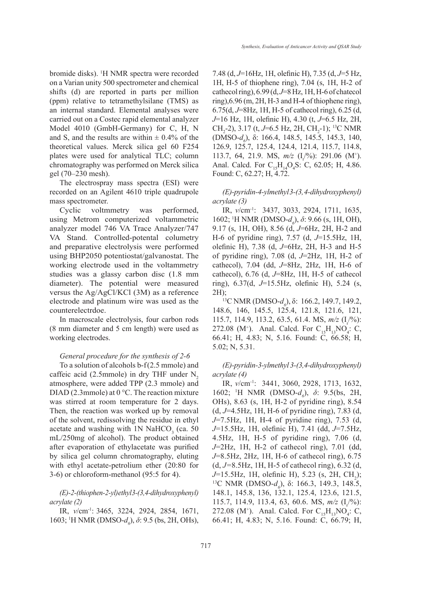bromide disks). <sup>1</sup> H NMR spectra were recorded on a Varian unity 500 spectrometer and chemical shifts (d) are reported in parts per million (ppm) relative to tetramethylsilane (TMS) as an internal standard. Elemental analyses were carried out on a Costec rapid elemental analyzer Model 4010 (GmbH-Germany) for C, H, N and S, and the results are within  $\pm$  0.4% of the theoretical values. Merck silica gel 60 F254 plates were used for analytical TLC; column chromatography was performed on Merck silica gel (70–230 mesh).

The electrospray mass spectra (ESI) were recorded on an Agilent 4610 triple quadrupole mass spectrometer.

Cyclic voltmmetry was performed, using Metrom computerized voltammetric analyzer model 746 VA Trace Analyzer/747 VA Stand. Controlled-potental columetry and preparative electrolysis were performed using BHP2050 potentiostat/galvanostat. The working electrode used in the voltammetry studies was a glassy carbon disc (1.8 mm diameter). The potential were measured versus the Ag/AgCl/KCl (3M) as a reference electrode and platinum wire was used as the counterelectrdoe.

In macroscale electrolysis, four carbon rods (8 mm diameter and 5 cm length) were used as working electrodes.

# *General procedure for the synthesis of 2-6*

To a solution of alcohols b-f(2.5 mmole) and caffeic acid (2.5mmole) in dry THF under  $N<sub>2</sub>$ atmosphere, were added TPP (2.3 mmole) and DIAD (2.3mmole) at 0 °C. The reaction mixture was stirred at room temperature for 2 days. Then, the reaction was worked up by removal of the solvent, redissolving the residue in ethyl acetate and washing with  $1N$  NaHCO<sub>3</sub> (ca. 50) mL/250mg of alcohol). The product obtained after evaporation of ethylacetate was purified by silica gel column chromatography, eluting with ethyl acetate-petrolium ether (20:80 for 3-6) or chloroform-methanol (95:5 for 4).

# *(E)-2-(thiophen-2-yl) ethyl 3-(3,4-dihydroxyphenyl) acrylate (2)*

IR, *v*/cm-1: 3465, 3224, 2924, 2854, 1671, 1603; <sup>1</sup>H NMR (DMSO-*d<sub>6</sub>*), *δ*: 9.5 (bs, 2H, OHs), 7.48 (d, *J*=16Hz, 1H, olefinic H), 7.35 (d, *J*=5 Hz, 1H, H-5 of thiophene ring), 7.04 (s, 1H, H-2 of cathecol ring), 6.99 (d, *J*=8 Hz, 1H, H-6 of chatecol ring),  $6.96$  (m,  $2H$ ,  $H$ -3 and  $H$ -4 of thiophene ring), 6.75(d, *J*=8Hz, 1H, H-5 of cathecol ring), 6.25 (d, *J*=16 Hz, 1H, olefinic H), 4.30 (t, *J*=6.5 Hz, 2H, CH<sub>2</sub>-2), 3.17 (t, *J*=6.5 Hz, 2H, CH<sub>2</sub>-1); <sup>13</sup>C NMR (DMSO-*d<sub>6</sub>*), δ: 166.4, 148.5, 145.5, 145.3, 140, 126.9, 125.7, 125.4, 124.4, 121.4, 115.7, 114.8, 113.7, 64, 21.9. MS,  $m/z$  ( $I_r^{9/6}$ ): 291.06 (M<sup>+</sup>). Anal. Calcd. For  $C_{15}H_{14}O_4S$ : C, 62.05; H, 4.86. Found: C, 62.27; H, 4.72.

*(E)-pyridin-4-ylmethyl 3-(3, 4-dihydroxyphenyl) acrylate (3)*

IR, *v*/cm-1: 3437, 3033, 2924, 1711, 1635, 1602; <sup>1</sup>H NMR (DMSO-*d<sub>6</sub>*), *δ*: 9.66 (s, 1H, OH), 9.17 (s, 1H, OH), 8.56 (d, *J*=6Hz, 2H, H-2 and H-6 of pyridine ring), 7.57 (d, *J*=15.5Hz, 1H, olefinic H), 7.38 (d, *J*=6Hz, 2H, H-3 and H-5 of pyridine ring), 7.08 (d, *J*=2Hz, 1H, H-2 of cathecol), 7.04 (dd, *J*=8Hz, 2Hz, 1H, H-6 of cathecol), 6.76 (d, *J*=8Hz, 1H, H-5 of cathecol ring), 6.37(d, *J*=15.5Hz, olefinic H), 5.24 (s,

2H);<br><sup>13</sup>C NMR (DMSO-*d<sub>6</sub>*), δ: 166.2, 149.7, 149.2, 148.6, 146, 145.5, 125.4, 121.8, 121.6, 121, 115.7, 114.9, 113.2, 63.5, 61.4. MS,  $m/z$  (I<sub>r</sub><sup>0</sup>/<sub>0</sub>): 272.08 (M<sup>+</sup>). Anal. Calcd. For  $C_{15}H_{13}NO_4$ : C, 66.41; H, 4.83; N, 5.16. Found: C, 66.58; H, 5.02; N, 5.31.

*(E)-pyridin-3-ylmethyl 3-(3,4-dihydroxyphenyl) acrylate (4)*

IR, *v*/cm-1: 3441, 3060, 2928, 1713, 1632, 1602; <sup>1</sup>H NMR (DMSO-*d<sub>6</sub>*), *δ*: 9.5(bs, 2H, OHs), 8.63 (s, 1H, H-2 of pyridine ring), 8.54 (d, *J*=4.5Hz, 1H, H-6 of pyridine ring), 7.83 (d, *J*=7.5Hz, 1H, H-4 of pyridine ring), 7.53 (d, *J*=15.5Hz, 1H, olefinic H), 7.41 (dd, *J*=7.5Hz, 4.5Hz, 1H, H-5 of pyridine ring), 7.06 (d, *J*=2Hz, 1H, H-2 of cathecol ring), 7.01 (dd, *J*=8.5Hz, 2Hz, 1H, H-6 of cathecol ring), 6.75 (d, *J=*8.5Hz, 1H, H-5 of cathecol ring), 6.32 (d, *J*=15.5Hz, 1H, olefinic H), 5.23 (s, 2H, CH<sub>2</sub>);  $J=15.5$ Hz, 1H, olefinic H), 5.23 (s, 2H, CH<sub>2</sub>);<br><sup>13</sup>C NMR (DMSO-*d<sub>6</sub>*), δ: 166.3, 149.3, 148.5, 148.1, 145.8, 136, 132.1, 125.4, 123.6, 121.5, 115.7, 114.9, 113.4, 63, 60.6. MS,  $m/z$  (I<sub>r</sub><sup>(9</sup>): 272.08 (M<sup>+</sup>). Anal. Calcd. For  $C_{15}H_{13}NO_4$ : C, 66.41; H, 4.83; N, 5.16. Found: C, 66.79; H,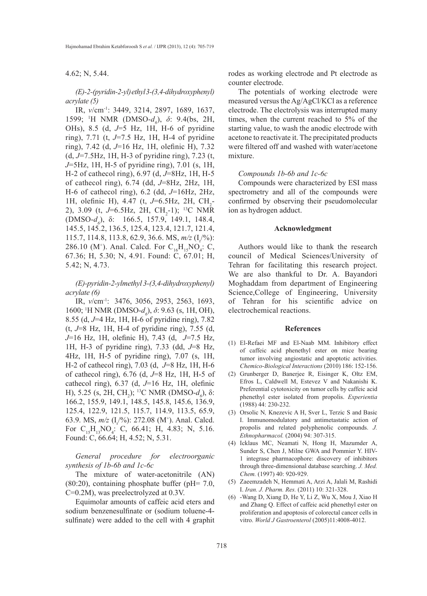4.62; N, 5.44.

*(E)-2-(pyridin-2-yl) ethyl 3-(3,4-dihydroxyphenyl) acrylate (5)*

IR, *v*/cm-1: 3449, 3214, 2897, 1689, 1637, 1599; <sup>1</sup>H NMR (DMSO-*d<sub>6</sub>*), *δ*: 9.4(bs, 2H, OHs), 8.5 (d, *J*=5 Hz, 1H, H-6 of pyridine ring), 7.71 (t, *J*=7.5 Hz, 1H, H-4 of pyridine ring), 7.42 (d, *J*=16 Hz, 1H, olefinic H), 7.32 (d, *J*=7.5Hz, 1H, H-3 of pyridine ring), 7.23 (t, *J*=5Hz, 1H, H-5 of pyridine ring), 7.01 (s, 1H, H-2 of cathecol ring), 6.97 (d, *J*=8Hz, 1H, H-5 of cathecol ring), 6.74 (dd, *J*=8Hz, 2Hz, 1H, H-6 of cathecol ring), 6.2 (dd, *J*=16Hz, 2Hz, 1H, olefinic H), 4.47 (t, J=6.5Hz, 2H, CH<sub>2</sub>-2), 3.09 (t, J=6.5Hz, 2H, CH<sub>2</sub>-1); <sup>13</sup>C NMR  $(DMSO-d_6)$ , δ: 166.5, 157.9, 149.1, 148.4, 145.5, 145.2, 136.5, 125.4, 123.4, 121.7, 121.4, 115.7, 114.8, 113.8, 62.9, 36.6. MS,  $m/z$  (I<sub>r</sub><sup>(9</sup><sub>6</sub>): 286.10 (M<sup>+</sup>). Anal. Calcd. For  $C_{16}H_{15}NO_4$ : C, 67.36; H, 5.30; N, 4.91. Found: C, 67.01; H, 5.42; N, 4.73.

# *(E)-pyridin-2-ylmethyl 3-(3,4-dihydroxyphenyl) acrylate (6)*

IR, *v*/cm-1: 3476, 3056, 2953, 2563, 1693, 1600; <sup>1</sup>H NMR (DMSO-*d<sub>6</sub>*), *δ*: 9.63 (s, 1H, OH), 8.55 (d, *J*=4 Hz, 1H, H-6 of pyridine ring), 7.82 (t, *J*=8 Hz, 1H, H-4 of pyridine ring), 7.55 (d, *J*=16 Hz, 1H, olefinic H), 7.43 (d, *J*=7.5 Hz, 1H, H-3 of pyridine ring), 7.33 (dd, *J*=8 Hz, 4Hz, 1H, H-5 of pyridine ring), 7.07 (s, 1H, H-2 of cathecol ring), 7.03 (d, *J*=8 Hz, 1H, H-6 of cathecol ring), 6.76 (d, *J*=8 Hz, 1H, H-5 of cathecol ring), 6.37 (d, *J*=16 Hz, 1H, olefinic H), 5.25 (s, 2H, CH<sub>2</sub>); <sup>13</sup>C NMR (DMSO-*d<sub>6</sub>*), δ: 166.2, 155.9, 149.1, 148.5, 145.8, 145.6, 136.9, 125.4, 122.9, 121.5, 115.7, 114.9, 113.5, 65.9, 63.9. MS,  $m/z$  ( $I'_r$ %): 272.08 (M<sup>+</sup>). Anal. Calcd. For  $C_{15}H_{13}NO_4$ : C, 66.41; H, 4.83; N, 5.16. Found: C, 66.64; H, 4.52; N, 5.31.

*General procedure for electroorganic synthesis of 1b-6b and 1c-6c*

The mixture of water-acetonitrile (AN) (80:20), containing phosphate buffer (pH= 7.0, C=0.2M), was preelectrolyzed at 0.3V.

Equimolar amounts of caffeic acid eters and sodium benzenesulfinate or (sodium toluene-4 sulfinate) were added to the cell with 4 graphit rodes as working electrode and Pt electrode as counter electrode.

The potentials of working electrode were measured versus the Ag/AgCl/KCl as a reference electrode. The electrolysis was interrupted many times, when the current reached to 5% of the starting value, to wash the anodic electrode with acetone to reactivate it. The precipitated products were filtered off and washed with water/acetone mixture.

#### *Compounds 1b-6b and 1c-6c*

Compounds were characterized by ESI mass spectrometry and all of the compounds were confirmed by observing their pseudomolecular ion as hydrogen adduct.

## **Acknowledgment**

Authors would like to thank the research council of Medical Sciences/University of Tehran for facilitating this research project. We are also thankful to Dr. A. Bayandori Moghaddam from department of Engineering Science,College of Engineering, University of Tehran for his scientific advice on electrochemical reactions.

# **References**

- El-Refaei MF and El-Naab MM. Inhibitory effect (1) of caffeic acid phenethyl ester on mice bearing tumor involving angiostatic and apoptotic activities. *Chemico-Biological Interactions* (2010) 186: 152-156.
- Grunberger D, Banerjee R, Eisinger K, Oltz EM, (2) Efros L, Caldwell M, Estevez V and Nakanishi K. Preferential cytotoxicity on tumor cells by caffeic acid phenethyl ester isolated from propolis. *Experientia*  (1988) 44: 230-232.
- (3) Orsolic N, Knezevic A H, Sver L, Terzic S and Basic I. Immunomodulatory and antimetastatic action of propolis and related polyphenolic compounds. *J. Ethnopharmacol.* (2004) 94: 307-315.
- Icklaus MC, Neamati N, Hong H, Mazumder A, (4) Sunder S, Chen J, Milne GWA and Pommier Y. HIV-1 integrase pharmacophore: discovery of inhibitors through three-dimensional database searching. *J. Med. Chem.* (1997) 40: 920-929.
- (5) Zaeemzadeh N, Hemmati A, Arzi A, Jalali M, Rashidi I. *Iran. J. Pharm. Res.* (2011) 10: 321-328.
- -Wang D, Xiang D, He Y, Li Z, Wu X, Mou J, Xiao H (6) and Zhang Q. Effect of caffeic acid phenethyl ester on proliferation and apoptosis of colorectal cancer cells in vitro. *World J Gastroenterol* (2005)11:4008-4012.